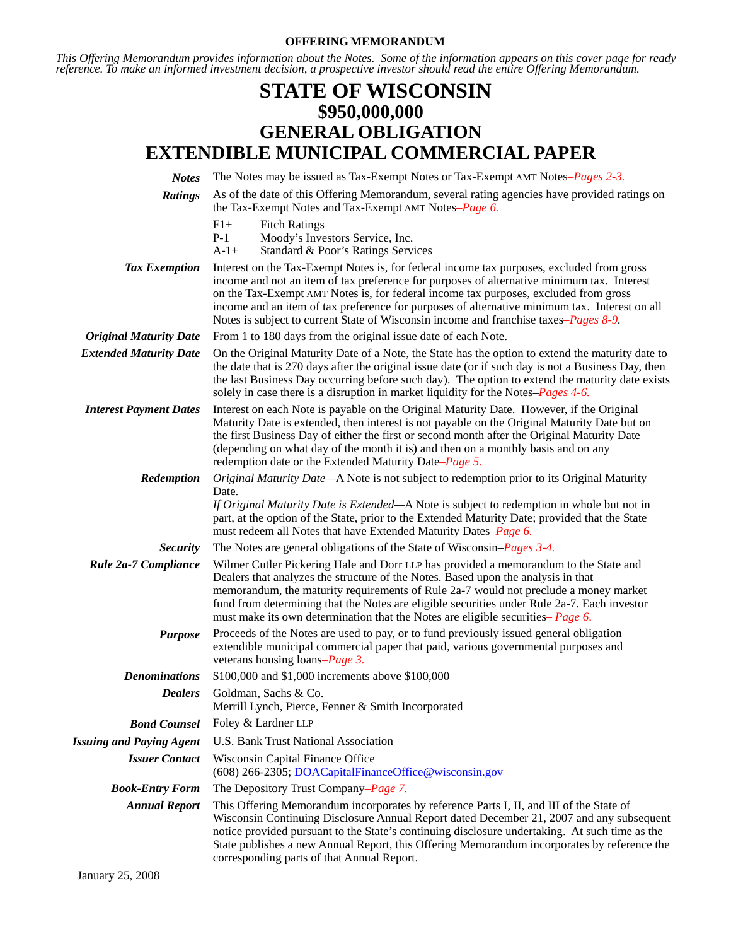#### **OFFERING MEMORANDUM**

*This Offering Memorandum provides information about the Notes. Some of the information appears on this cover page for ready reference. To make an informed investment decision, a prospective investor should read the entire Offering Memorandum.*

# **STATE OF WISCONSIN \$950,000,000 GENERAL OBLIGATION EXTENDIBLE MUNICIPAL COMMERCIAL PAPER**

| <b>Notes</b>                    | The Notes may be issued as Tax-Exempt Notes or Tax-Exempt AMT Notes–Pages 2-3.                                                                                                                                                                                                                                                                                                                                                                                           |
|---------------------------------|--------------------------------------------------------------------------------------------------------------------------------------------------------------------------------------------------------------------------------------------------------------------------------------------------------------------------------------------------------------------------------------------------------------------------------------------------------------------------|
| <b>Ratings</b>                  | As of the date of this Offering Memorandum, several rating agencies have provided ratings on<br>the Tax-Exempt Notes and Tax-Exempt AMT Notes-Page 6.                                                                                                                                                                                                                                                                                                                    |
|                                 | $F1+$<br><b>Fitch Ratings</b><br>$P-1$<br>Moody's Investors Service, Inc.<br>$A-1+$<br>Standard & Poor's Ratings Services                                                                                                                                                                                                                                                                                                                                                |
| <b>Tax Exemption</b>            | Interest on the Tax-Exempt Notes is, for federal income tax purposes, excluded from gross<br>income and not an item of tax preference for purposes of alternative minimum tax. Interest<br>on the Tax-Exempt AMT Notes is, for federal income tax purposes, excluded from gross<br>income and an item of tax preference for purposes of alternative minimum tax. Interest on all<br>Notes is subject to current State of Wisconsin income and franchise taxes–Pages 8-9. |
| <b>Original Maturity Date</b>   | From 1 to 180 days from the original issue date of each Note.                                                                                                                                                                                                                                                                                                                                                                                                            |
| <b>Extended Maturity Date</b>   | On the Original Maturity Date of a Note, the State has the option to extend the maturity date to<br>the date that is 270 days after the original issue date (or if such day is not a Business Day, then<br>the last Business Day occurring before such day). The option to extend the maturity date exists<br>solely in case there is a disruption in market liquidity for the Notes-Pages 4-6.                                                                          |
| <b>Interest Payment Dates</b>   | Interest on each Note is payable on the Original Maturity Date. However, if the Original<br>Maturity Date is extended, then interest is not payable on the Original Maturity Date but on<br>the first Business Day of either the first or second month after the Original Maturity Date<br>(depending on what day of the month it is) and then on a monthly basis and on any<br>redemption date or the Extended Maturity Date–Page 5.                                    |
| Redemption                      | Original Maturity Date—A Note is not subject to redemption prior to its Original Maturity<br>Date.<br>If Original Maturity Date is Extended—A Note is subject to redemption in whole but not in<br>part, at the option of the State, prior to the Extended Maturity Date; provided that the State<br>must redeem all Notes that have Extended Maturity Dates–Page 6.                                                                                                     |
| <b>Security</b>                 | The Notes are general obligations of the State of Wisconsin–Pages 3-4.                                                                                                                                                                                                                                                                                                                                                                                                   |
| Rule 2a-7 Compliance            | Wilmer Cutler Pickering Hale and Dorr LLP has provided a memorandum to the State and<br>Dealers that analyzes the structure of the Notes. Based upon the analysis in that<br>memorandum, the maturity requirements of Rule 2a-7 would not preclude a money market<br>fund from determining that the Notes are eligible securities under Rule 2a-7. Each investor<br>must make its own determination that the Notes are eligible securities– Page 6.                      |
| <b>Purpose</b>                  | Proceeds of the Notes are used to pay, or to fund previously issued general obligation<br>extendible municipal commercial paper that paid, various governmental purposes and<br>veterans housing loans– <i>Page 3</i> .                                                                                                                                                                                                                                                  |
| <b>Denominations</b>            | \$100,000 and \$1,000 increments above \$100,000                                                                                                                                                                                                                                                                                                                                                                                                                         |
| <b>Dealers</b>                  | Goldman, Sachs & Co.<br>Merrill Lynch, Pierce, Fenner & Smith Incorporated                                                                                                                                                                                                                                                                                                                                                                                               |
| <b>Bond Counsel</b>             | Foley & Lardner LLP                                                                                                                                                                                                                                                                                                                                                                                                                                                      |
| <b>Issuing and Paying Agent</b> | U.S. Bank Trust National Association                                                                                                                                                                                                                                                                                                                                                                                                                                     |
| <b>Issuer Contact</b>           | Wisconsin Capital Finance Office<br>(608) 266-2305; DOACapitalFinanceOffice@wisconsin.gov                                                                                                                                                                                                                                                                                                                                                                                |
| <b>Book-Entry Form</b>          | The Depository Trust Company–Page 7.                                                                                                                                                                                                                                                                                                                                                                                                                                     |
| <b>Annual Report</b>            | This Offering Memorandum incorporates by reference Parts I, II, and III of the State of<br>Wisconsin Continuing Disclosure Annual Report dated December 21, 2007 and any subsequent<br>notice provided pursuant to the State's continuing disclosure undertaking. At such time as the<br>State publishes a new Annual Report, this Offering Memorandum incorporates by reference the<br>corresponding parts of that Annual Report.                                       |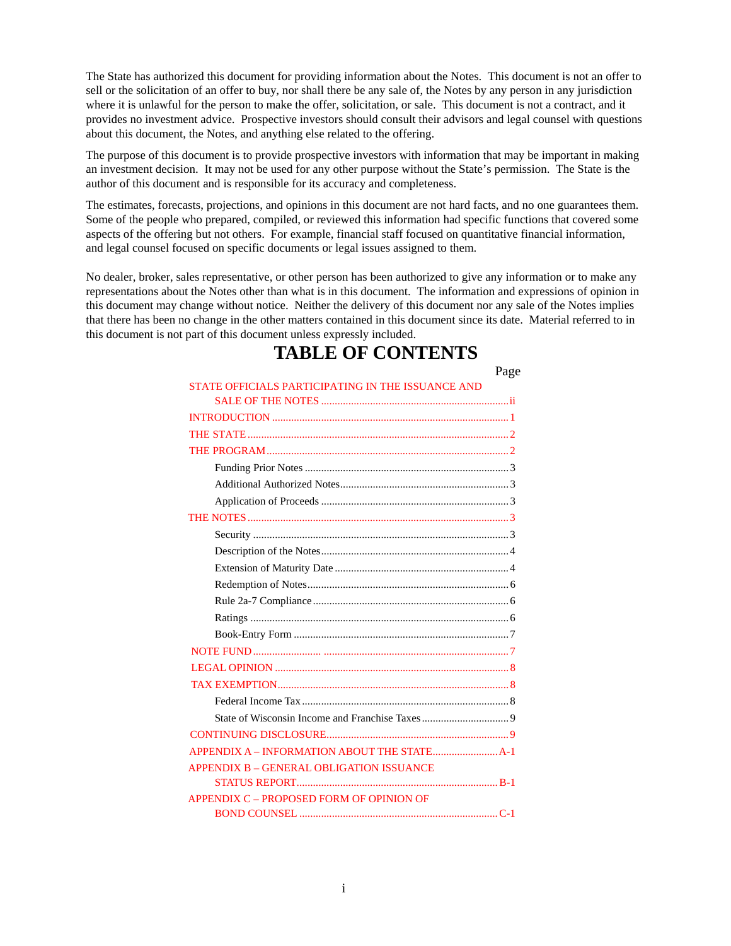The State has authorized this document for providing information about the Notes. This document is not an offer to sell or the solicitation of an offer to buy, nor shall there be any sale of, the Notes by any person in any jurisdiction where it is unlawful for the person to make the offer, solicitation, or sale. This document is not a contract, and it provides no investment advice. Prospective investors should consult their advisors and legal counsel with questions about this document, the Notes, and anything else related to the offering.

The purpose of this document is to provide prospective investors with information that may be important in making an investment decision. It may not be used for any other purpose without the State's permission. The State is the author of this document and is responsible for its accuracy and completeness.

The estimates, forecasts, projections, and opinions in this document are not hard facts, and no one guarantees them. Some of the people who prepared, compiled, or reviewed this information had specific functions that covered some aspects of the offering but not others. For example, financial staff focused on quantitative financial information, and legal counsel focused on specific documents or legal issues assigned to them.

No dealer, broker, sales representative, or other person has been authorized to give any information or to make any representations about the Notes other than what is in this document. The information and expressions of opinion in this document may change without notice. Neither the delivery of this document nor any sale of the Notes implies that there has been no change in the other matters contained in this document since its date. Material referred to in this document is not part of this document unless expressly included.

# **TABLE OF CONTENTS**

Page

| STATE OFFICIALS PARTICIPATING IN THE ISSUANCE AND |
|---------------------------------------------------|
|                                                   |
|                                                   |
|                                                   |
|                                                   |
|                                                   |
|                                                   |
|                                                   |
|                                                   |
|                                                   |
|                                                   |
|                                                   |
|                                                   |
|                                                   |
|                                                   |
|                                                   |
|                                                   |
|                                                   |
|                                                   |
|                                                   |
|                                                   |
|                                                   |
|                                                   |
| <b>APPENDIX B - GENERAL OBLIGATION ISSUANCE</b>   |
|                                                   |
| APPENDIX C - PROPOSED FORM OF OPINION OF          |
|                                                   |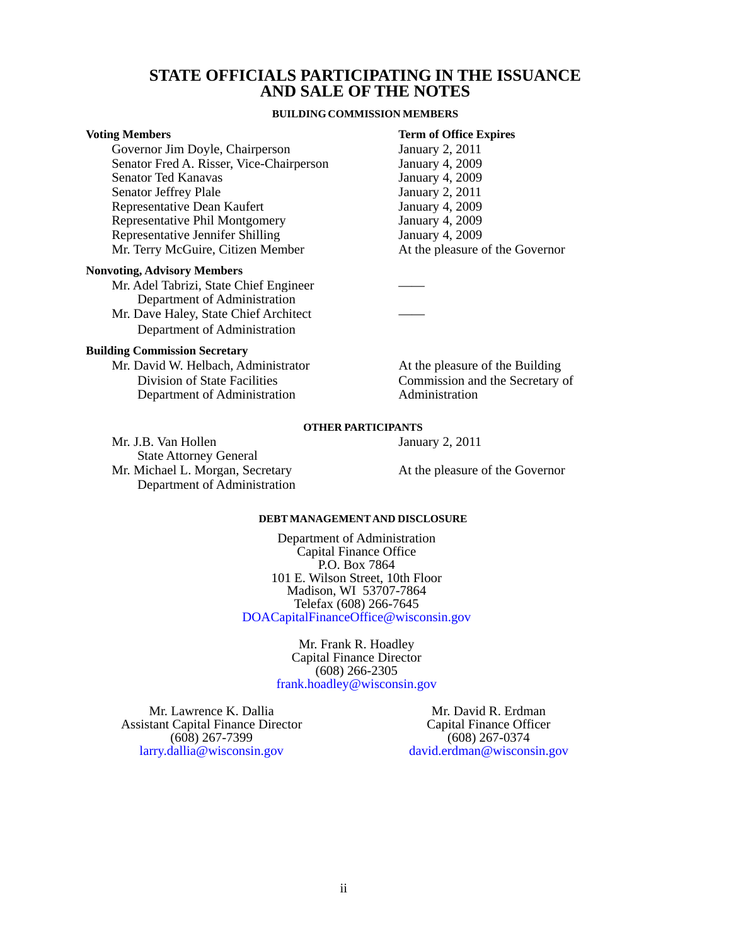#### **STATE OFFICIALS PARTICIPATING IN THE ISSUANCE AND SALE OF THE NOTES**

#### **BUILDING COMMISSION MEMBERS**

#### <span id="page-2-0"></span>**Voting Members Term of Office Expires**

Governor Jim Doyle, Chairperson January 2, 2011<br>Senator Fred A. Risser, Vice-Chairperson January 4, 2009 Senator Fred A. Risser, Vice-Chairperson January 4, 2009<br>Senator Ted Kanavas January 4, 2009 Senator Ted Kanavas<br>
Senator Jeffrey Plale<br>
January 2, 2011 Senator Jeffrey Plale<br>
Representative Dean Kaufert<br>
January 4, 2009 Representative Dean Kaufert<br>
Representative Phil Montgomery<br>
January 4, 2009 Representative Phil Montgomery Representative Jennifer Shilling<br>
Mr. Terry McGuire, Citizen Member<br>
At the pleasure of the Governor Mr. Terry McGuire, Citizen Member

#### **Nonvoting, Advisory Members**

Mr. Adel Tabrizi, State Chief Engineer Department of Administration Mr. Dave Haley, State Chief Architect

Department of Administration

#### **Building Commission Secretary**

Mr. David W. Helbach, Administrator **At the pleasure of the Building** Department of Administration Administration

Division of State Facilities Commission and the Secretary of

#### **OTHER PARTICIPANTS**

Mr. J.B. Van Hollen January 2, 2011 State Attorney General Mr. Michael L. Morgan, Secretary **At the pleasure of the Governor** Department of Administration

#### **DEBT MANAGEMENTAND DISCLOSURE**

Department of Administration Capital Finance Office P.O. Box 7864 101 E. Wilson Street, 10th Floor Madison, WI 53707-7864 Telefax (608) 266-7645 [DOACapitalFinanceOffice@wisconsin.gov](mailto: DOACapitalFinanceOffice@wisconsin.gov)

> Mr. Frank R. Hoadley Capital Finance Director (608) 266-2305 [frank.hoadley@wisconsin.gov](mailto: DOACapitalFinanceOffice@wisconsin.gov)

Mr. Lawrence K. Dallia Assistant Capital Finance Director (608) 267-7399 [larry.dallia@wisconsin.gov](mailto: DOACapitalFinanceOffice@wisconsin.gov)

Mr. David R. Erdman Capital Finance Officer (608) 267-0374 [david.erdman@wisconsin.gov](mailto: DOACapitalFinanceOffice@wisconsin.gov)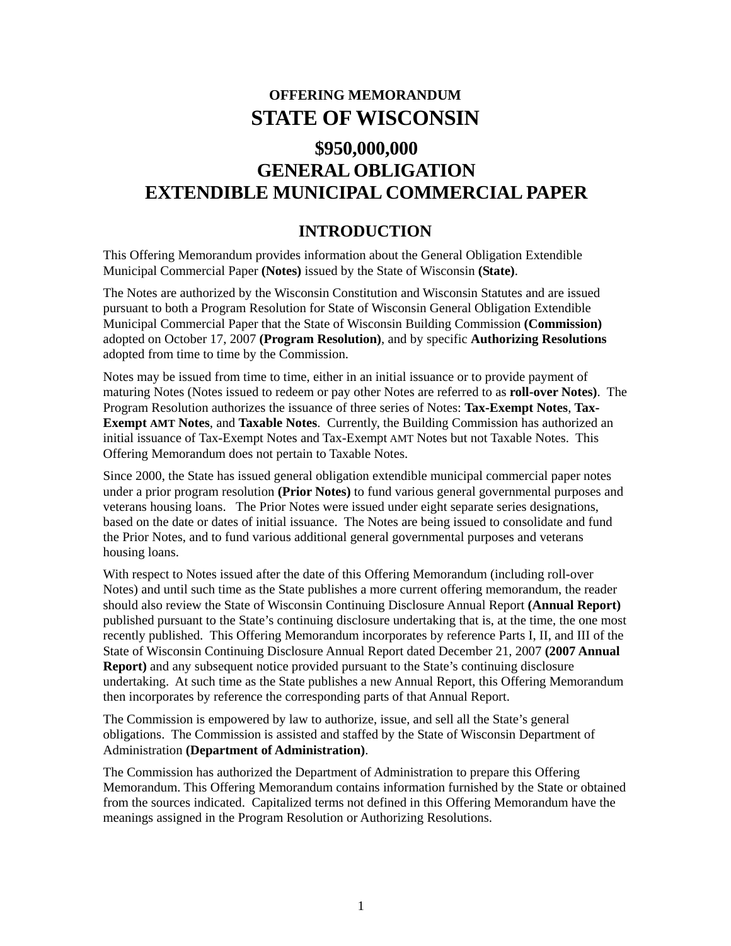# **OFFERING MEMORANDUM STATE OF WISCONSIN**

# <span id="page-3-0"></span>**\$950,000,000 GENERAL OBLIGATION EXTENDIBLE MUNICIPAL COMMERCIAL PAPER**

# **INTRODUCTION**

This Offering Memorandum provides information about the General Obligation Extendible Municipal Commercial Paper **(Notes)** issued by the State of Wisconsin **(State)**.

The Notes are authorized by the Wisconsin Constitution and Wisconsin Statutes and are issued pursuant to both a Program Resolution for State of Wisconsin General Obligation Extendible Municipal Commercial Paper that the State of Wisconsin Building Commission **(Commission)**  adopted on October 17, 2007 **(Program Resolution)**, and by specific **Authorizing Resolutions** adopted from time to time by the Commission.

Notes may be issued from time to time, either in an initial issuance or to provide payment of maturing Notes (Notes issued to redeem or pay other Notes are referred to as **roll-over Notes)**. The Program Resolution authorizes the issuance of three series of Notes: **Tax-Exempt Notes**, **Tax-Exempt AMT Notes**, and **Taxable Notes**. Currently, the Building Commission has authorized an initial issuance of Tax-Exempt Notes and Tax-Exempt AMT Notes but not Taxable Notes. This Offering Memorandum does not pertain to Taxable Notes.

Since 2000, the State has issued general obligation extendible municipal commercial paper notes under a prior program resolution **(Prior Notes)** to fund various general governmental purposes and veterans housing loans. The Prior Notes were issued under eight separate series designations, based on the date or dates of initial issuance. The Notes are being issued to consolidate and fund the Prior Notes, and to fund various additional general governmental purposes and veterans housing loans.

With respect to Notes issued after the date of this Offering Memorandum (including roll-over Notes) and until such time as the State publishes a more current offering memorandum, the reader should also review the State of Wisconsin Continuing Disclosure Annual Report **(Annual Report)**  published pursuant to the State's continuing disclosure undertaking that is, at the time, the one most recently published. This Offering Memorandum incorporates by reference Parts I, II, and III of the State of Wisconsin Continuing Disclosure Annual Report dated December 21, 2007 **(2007 Annual Report)** and any subsequent notice provided pursuant to the State's continuing disclosure undertaking. At such time as the State publishes a new Annual Report, this Offering Memorandum then incorporates by reference the corresponding parts of that Annual Report.

The Commission is empowered by law to authorize, issue, and sell all the State's general obligations. The Commission is assisted and staffed by the State of Wisconsin Department of Administration **(Department of Administration)**.

The Commission has authorized the Department of Administration to prepare this Offering Memorandum. This Offering Memorandum contains information furnished by the State or obtained from the sources indicated. Capitalized terms not defined in this Offering Memorandum have the meanings assigned in the Program Resolution or Authorizing Resolutions.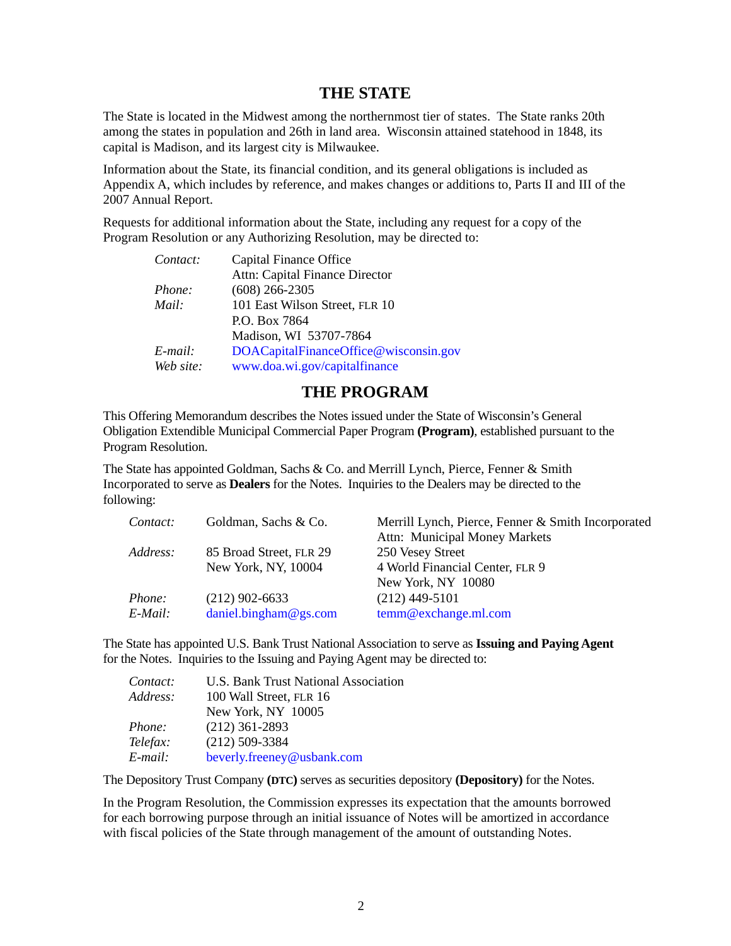## **THE STATE**

<span id="page-4-0"></span>The State is located in the Midwest among the northernmost tier of states. The State ranks 20th among the states in population and 26th in land area. Wisconsin attained statehood in 1848, its capital is Madison, and its largest city is Milwaukee.

Information about the State, its financial condition, and its general obligations is included as Appendix A, which includes by reference, and makes changes or additions to, Parts II and III of the 2007 Annual Report.

Requests for additional information about the State, including any request for a copy of the Program Resolution or any Authorizing Resolution, may be directed to:

| Contact:   | Capital Finance Office                |
|------------|---------------------------------------|
|            | Attn: Capital Finance Director        |
| Phone:     | $(608)$ 266-2305                      |
| Mail:      | 101 East Wilson Street, FLR 10        |
|            | P.O. Box 7864                         |
|            | Madison, WI 53707-7864                |
| $E$ -mail: | DOACapitalFinanceOffice@wisconsin.gov |
| Web site:  | www.doa.wi.gov/capitalfinance         |

# **THE PROGRAM**

This Offering Memorandum describes the Notes issued under the State of Wisconsin's General Obligation Extendible Municipal Commercial Paper Program **(Program)**, established pursuant to the Program Resolution.

The State has appointed Goldman, Sachs & Co. and Merrill Lynch, Pierce, Fenner & Smith Incorporated to serve as **Dealers** for the Notes. Inquiries to the Dealers may be directed to the following:

| Contact:      | Goldman, Sachs & Co.    | Merrill Lynch, Pierce, Fenner & Smith Incorporated |
|---------------|-------------------------|----------------------------------------------------|
|               |                         | <b>Attn:</b> Municipal Money Markets               |
| Address:      | 85 Broad Street, FLR 29 | 250 Vesey Street                                   |
|               | New York, NY, 10004     | 4 World Financial Center, FLR 9                    |
|               |                         | New York, NY 10080                                 |
| <i>Phone:</i> | $(212)$ 902-6633        | $(212)$ 449-5101                                   |
| E-Mail:       | daniel.bingham@gs.com   | temm@exchange.ml.com                               |

The State has appointed U.S. Bank Trust National Association to serve as **Issuing and Paying Agent** for the Notes. Inquiries to the Issuing and Paying Agent may be directed to:

| Contact: | U.S. Bank Trust National Association |
|----------|--------------------------------------|
| Address: | 100 Wall Street, FLR 16              |
|          | New York, NY 10005                   |
| Phone:   | $(212)$ 361-2893                     |
| Telefax: | $(212)$ 509-3384                     |
| E-mail:  | beverly.freeney@usbank.com           |

The Depository Trust Company **(DTC)** serves as securities depository **(Depository)** for the Notes.

In the Program Resolution, the Commission expresses its expectation that the amounts borrowed for each borrowing purpose through an initial issuance of Notes will be amortized in accordance with fiscal policies of the State through management of the amount of outstanding Notes.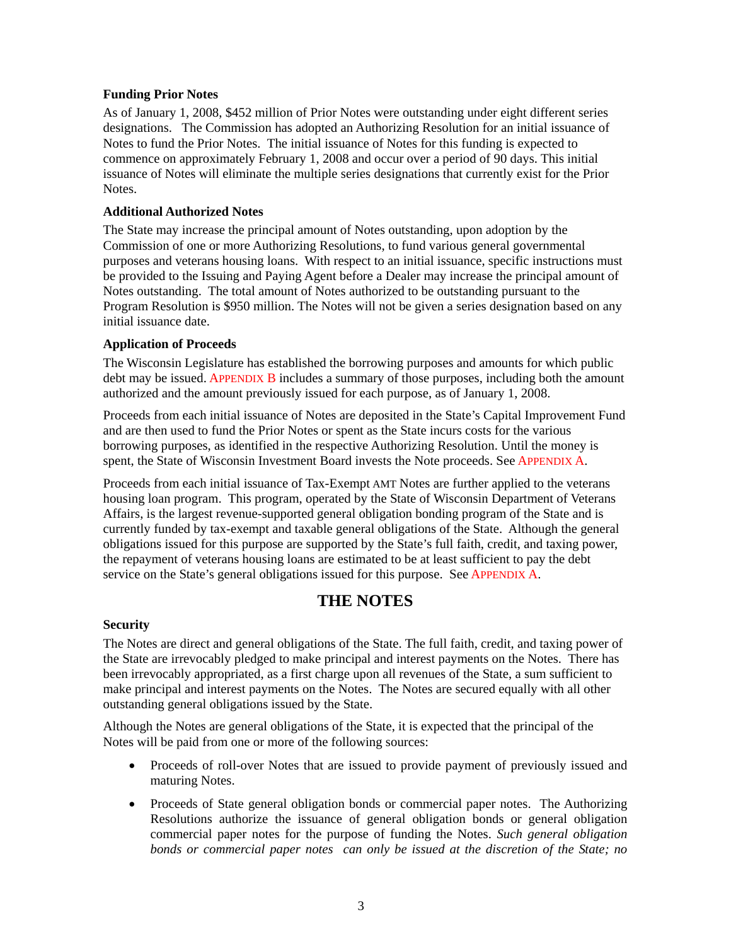#### <span id="page-5-0"></span>**Funding Prior Notes**

As of January 1, 2008, \$452 million of Prior Notes were outstanding under eight different series designations. The Commission has adopted an Authorizing Resolution for an initial issuance of Notes to fund the Prior Notes. The initial issuance of Notes for this funding is expected to commence on approximately February 1, 2008 and occur over a period of 90 days. This initial issuance of Notes will eliminate the multiple series designations that currently exist for the Prior Notes.

#### **Additional Authorized Notes**

The State may increase the principal amount of Notes outstanding, upon adoption by the Commission of one or more Authorizing Resolutions, to fund various general governmental purposes and veterans housing loans. With respect to an initial issuance, specific instructions must be provided to the Issuing and Paying Agent before a Dealer may increase the principal amount of Notes outstanding. The total amount of Notes authorized to be outstanding pursuant to the Program Resolution is \$950 million. The Notes will not be given a series designation based on any initial issuance date.

#### **Application of Proceeds**

The Wisconsin Legislature has established the borrowing purposes and amounts for which public debt may be issued[. APPENDIX B in](#page-15-0)cludes a summary of those purposes, including both the amount authorized and the amount previously issued for each purpose, as of January 1, 2008.

Proceeds from each initial issuance of Notes are deposited in the State's Capital Improvement Fund and are then used to fund the Prior Notes or spent as the State incurs costs for the various borrowing purposes, as identified in the respective Authorizing Resolution. Until the money is spent, the State of Wisconsin Investment Board invests the Note proceeds. Se[e APPENDIX A.](#page-13-0) 

Proceeds from each initial issuance of Tax-Exempt AMT Notes are further applied to the veterans housing loan program. This program, operated by the State of Wisconsin Department of Veterans Affairs, is the largest revenue-supported general obligation bonding program of the State and is currently funded by tax-exempt and taxable general obligations of the State. Although the general obligations issued for this purpose are supported by the State's full faith, credit, and taxing power, the repayment of veterans housing loans are estimated to be at least sufficient to pay the debt service on the State's general obligations issued for this purpose. Se[e APPENDIX A.](#page-13-0) 

# **THE NOTES**

#### **Security**

The Notes are direct and general obligations of the State. The full faith, credit, and taxing power of the State are irrevocably pledged to make principal and interest payments on the Notes. There has been irrevocably appropriated, as a first charge upon all revenues of the State, a sum sufficient to make principal and interest payments on the Notes. The Notes are secured equally with all other outstanding general obligations issued by the State.

Although the Notes are general obligations of the State, it is expected that the principal of the Notes will be paid from one or more of the following sources:

- Proceeds of roll-over Notes that are issued to provide payment of previously issued and maturing Notes.
- Proceeds of State general obligation bonds or commercial paper notes. The Authorizing Resolutions authorize the issuance of general obligation bonds or general obligation commercial paper notes for the purpose of funding the Notes. *Such general obligation bonds or commercial paper notes can only be issued at the discretion of the State; no*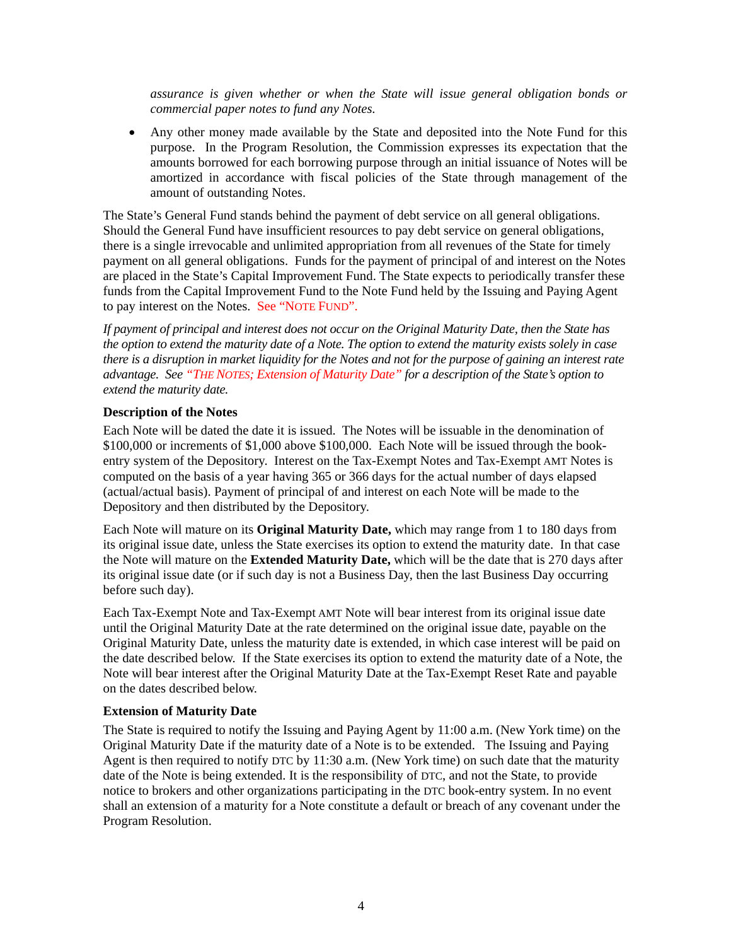<span id="page-6-0"></span>*assurance is given whether or when the State will issue general obligation bonds or commercial paper notes to fund any Notes.*

• Any other money made available by the State and deposited into the Note Fund for this purpose. In the Program Resolution, the Commission expresses its expectation that the amounts borrowed for each borrowing purpose through an initial issuance of Notes will be amortized in accordance with fiscal policies of the State through management of the amount of outstanding Notes.

The State's General Fund stands behind the payment of debt service on all general obligations. Should the General Fund have insufficient resources to pay debt service on general obligations, there is a single irrevocable and unlimited appropriation from all revenues of the State for timely payment on all general obligations. Funds for the payment of principal of and interest on the Notes are placed in the State's Capital Improvement Fund. The State expects to periodically transfer these funds from the Capital Improvement Fund to the Note Fund held by the Issuing and Paying Agent to pay interest on the Notes. [See "NOTE FUND".](#page-9-0) 

*If payment of principal and interest does not occur on the Original Maturity Date, then the State has the option to extend the maturity date of a Note. The option to extend the maturity exists solely in case there is a disruption in market liquidity for the Notes and not for the purpose of gaining an interest rate advantage. See "THE NOTES; Extension of Maturity Date" for a description of the State's option to extend the maturity date.* 

#### **Description of the Notes**

Each Note will be dated the date it is issued. The Notes will be issuable in the denomination of \$100,000 or increments of \$1,000 above \$100,000. Each Note will be issued through the bookentry system of the Depository. Interest on the Tax-Exempt Notes and Tax-Exempt AMT Notes is computed on the basis of a year having 365 or 366 days for the actual number of days elapsed (actual/actual basis). Payment of principal of and interest on each Note will be made to the Depository and then distributed by the Depository.

Each Note will mature on its **Original Maturity Date,** which may range from 1 to 180 days from its original issue date, unless the State exercises its option to extend the maturity date. In that case the Note will mature on the **Extended Maturity Date,** which will be the date that is 270 days after its original issue date (or if such day is not a Business Day, then the last Business Day occurring before such day).

Each Tax-Exempt Note and Tax-Exempt AMT Note will bear interest from its original issue date until the Original Maturity Date at the rate determined on the original issue date, payable on the Original Maturity Date, unless the maturity date is extended, in which case interest will be paid on the date described below. If the State exercises its option to extend the maturity date of a Note, the Note will bear interest after the Original Maturity Date at the Tax-Exempt Reset Rate and payable on the dates described below.

#### **Extension of Maturity Date**

The State is required to notify the Issuing and Paying Agent by 11:00 a.m. (New York time) on the Original Maturity Date if the maturity date of a Note is to be extended. The Issuing and Paying Agent is then required to notify DTC by 11:30 a.m. (New York time) on such date that the maturity date of the Note is being extended. It is the responsibility of DTC, and not the State, to provide notice to brokers and other organizations participating in the DTC book-entry system. In no event shall an extension of a maturity for a Note constitute a default or breach of any covenant under the Program Resolution.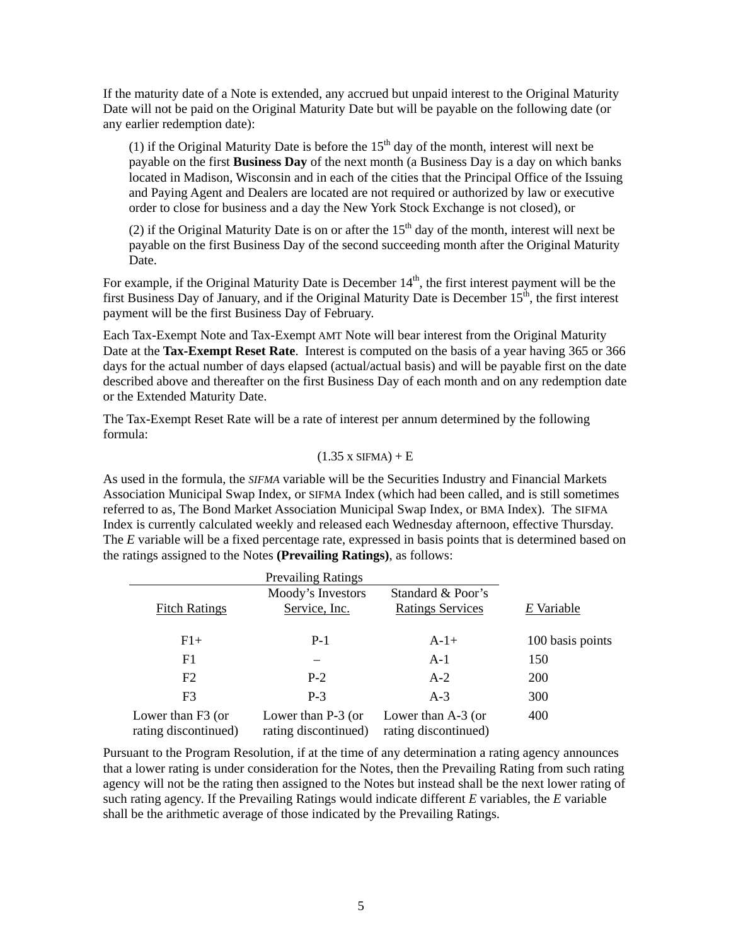<span id="page-7-0"></span>If the maturity date of a Note is extended, any accrued but unpaid interest to the Original Maturity Date will not be paid on the Original Maturity Date but will be payable on the following date (or any earlier redemption date):

(1) if the Original Maturity Date is before the  $15<sup>th</sup>$  day of the month, interest will next be payable on the first **Business Day** of the next month (a Business Day is a day on which banks located in Madison, Wisconsin and in each of the cities that the Principal Office of the Issuing and Paying Agent and Dealers are located are not required or authorized by law or executive order to close for business and a day the New York Stock Exchange is not closed), or

(2) if the Original Maturity Date is on or after the  $15<sup>th</sup>$  day of the month, interest will next be payable on the first Business Day of the second succeeding month after the Original Maturity Date.

For example, if the Original Maturity Date is December  $14<sup>th</sup>$ , the first interest payment will be the first Business Day of January, and if the Original Maturity Date is December  $15<sup>th</sup>$ , the first interest payment will be the first Business Day of February.

Each Tax-Exempt Note and Tax-Exempt AMT Note will bear interest from the Original Maturity Date at the **Tax-Exempt Reset Rate**. Interest is computed on the basis of a year having 365 or 366 days for the actual number of days elapsed (actual/actual basis) and will be payable first on the date described above and thereafter on the first Business Day of each month and on any redemption date or the Extended Maturity Date.

The Tax-Exempt Reset Rate will be a rate of interest per annum determined by the following formula:

#### $(1.35 x SIFMA) + E$

As used in the formula, the *SIFMA* variable will be the Securities Industry and Financial Markets Association Municipal Swap Index, or SIFMA Index (which had been called, and is still sometimes referred to as, The Bond Market Association Municipal Swap Index, or BMA Index). The SIFMA Index is currently calculated weekly and released each Wednesday afternoon, effective Thursday. The *E* variable will be a fixed percentage rate, expressed in basis points that is determined based on the ratings assigned to the Notes **(Prevailing Ratings)**, as follows:

|                                           | <b>Prevailing Ratings</b>                    |                                              |                  |  |  |
|-------------------------------------------|----------------------------------------------|----------------------------------------------|------------------|--|--|
| <b>Fitch Ratings</b>                      | Moody's Investors<br>Service, Inc.           | Standard & Poor's<br><b>Ratings Services</b> | E Variable       |  |  |
| $F1+$                                     | $P-1$                                        | $A-1+$                                       | 100 basis points |  |  |
| F1                                        |                                              | $A-1$                                        | 150              |  |  |
| F2                                        | $P-2$                                        | $A-2$                                        | <b>200</b>       |  |  |
| F <sub>3</sub>                            | $P-3$                                        | $A-3$                                        | 300              |  |  |
| Lower than F3 (or<br>rating discontinued) | Lower than $P-3$ (or<br>rating discontinued) | Lower than $A-3$ (or<br>rating discontinued) | 400              |  |  |

Pursuant to the Program Resolution, if at the time of any determination a rating agency announces that a lower rating is under consideration for the Notes, then the Prevailing Rating from such rating agency will not be the rating then assigned to the Notes but instead shall be the next lower rating of such rating agency. If the Prevailing Ratings would indicate different *E* variables, the *E* variable shall be the arithmetic average of those indicated by the Prevailing Ratings.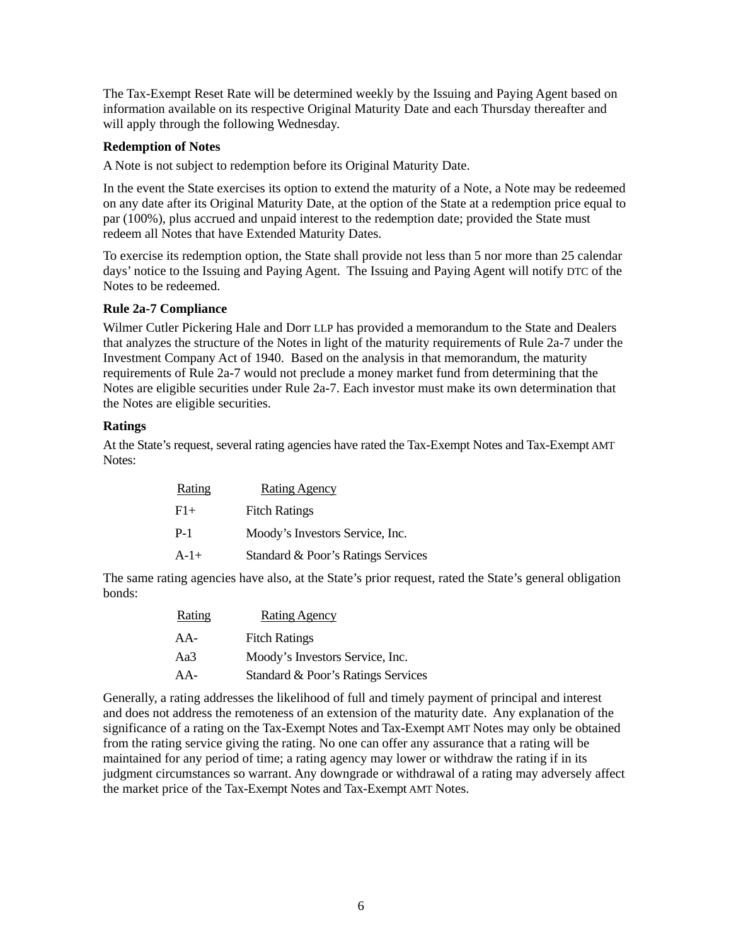<span id="page-8-0"></span>The Tax-Exempt Reset Rate will be determined weekly by the Issuing and Paying Agent based on information available on its respective Original Maturity Date and each Thursday thereafter and will apply through the following Wednesday.

#### **Redemption of Notes**

A Note is not subject to redemption before its Original Maturity Date.

In the event the State exercises its option to extend the maturity of a Note, a Note may be redeemed on any date after its Original Maturity Date, at the option of the State at a redemption price equal to par (100%), plus accrued and unpaid interest to the redemption date; provided the State must redeem all Notes that have Extended Maturity Dates.

To exercise its redemption option, the State shall provide not less than 5 nor more than 25 calendar days' notice to the Issuing and Paying Agent. The Issuing and Paying Agent will notify DTC of the Notes to be redeemed.

### **Rule 2a-7 Compliance**

Wilmer Cutler Pickering Hale and Dorr LLP has provided a memorandum to the State and Dealers that analyzes the structure of the Notes in light of the maturity requirements of Rule 2a-7 under the Investment Company Act of 1940. Based on the analysis in that memorandum, the maturity requirements of Rule 2a-7 would not preclude a money market fund from determining that the Notes are eligible securities under Rule 2a-7. Each investor must make its own determination that the Notes are eligible securities.

#### **Ratings**

At the State's request, several rating agencies have rated the Tax-Exempt Notes and Tax-Exempt AMT Notes:

| <b>Rating</b> | <b>Rating Agency</b>               |
|---------------|------------------------------------|
| F1+           | <b>Fitch Ratings</b>               |
| P-1           | Moody's Investors Service, Inc.    |
| $A-1+$        | Standard & Poor's Ratings Services |

The same rating agencies have also, at the State's prior request, rated the State's general obligation bonds:

| <b>Rating</b> | <b>Rating Agency</b>               |
|---------------|------------------------------------|
| AA-           | <b>Fitch Ratings</b>               |
| Aa3           | Moody's Investors Service, Inc.    |
| AA-           | Standard & Poor's Ratings Services |

Generally, a rating addresses the likelihood of full and timely payment of principal and interest and does not address the remoteness of an extension of the maturity date. Any explanation of the significance of a rating on the Tax-Exempt Notes and Tax-Exempt AMT Notes may only be obtained from the rating service giving the rating. No one can offer any assurance that a rating will be maintained for any period of time; a rating agency may lower or withdraw the rating if in its judgment circumstances so warrant. Any downgrade or withdrawal of a rating may adversely affect the market price of the Tax-Exempt Notes and Tax-Exempt AMT Notes.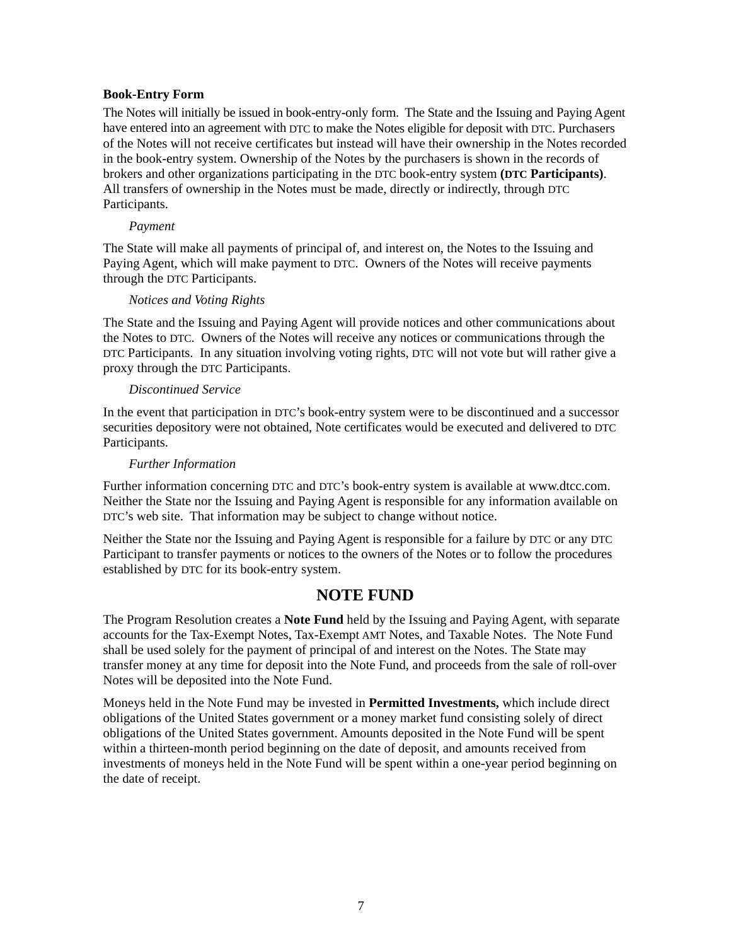#### <span id="page-9-0"></span>**Book-Entry Form**

The Notes will initially be issued in book-entry-only form. The State and the Issuing and Paying Agent have entered into an agreement with DTC to make the Notes eligible for deposit with DTC. Purchasers of the Notes will not receive certificates but instead will have their ownership in the Notes recorded in the book-entry system. Ownership of the Notes by the purchasers is shown in the records of brokers and other organizations participating in the DTC book-entry system **(DTC Participants)**. All transfers of ownership in the Notes must be made, directly or indirectly, through DTC Participants.

#### *Payment*

The State will make all payments of principal of, and interest on, the Notes to the Issuing and Paying Agent, which will make payment to DTC. Owners of the Notes will receive payments through the DTC Participants.

#### *Notices and Voting Rights*

The State and the Issuing and Paying Agent will provide notices and other communications about the Notes to DTC. Owners of the Notes will receive any notices or communications through the DTC Participants. In any situation involving voting rights, DTC will not vote but will rather give a proxy through the DTC Participants.

#### *Discontinued Service*

In the event that participation in DTC's book-entry system were to be discontinued and a successor securities depository were not obtained, Note certificates would be executed and delivered to DTC Participants.

#### *Further Information*

Further information concerning DTC and DTC's book-entry system is available at www.dtcc.com. Neither the State nor the Issuing and Paying Agent is responsible for any information available on DTC's web site. That information may be subject to change without notice.

Neither the State nor the Issuing and Paying Agent is responsible for a failure by DTC or any DTC Participant to transfer payments or notices to the owners of the Notes or to follow the procedures established by DTC for its book-entry system.

### **NOTE FUND**

The Program Resolution creates a **Note Fund** held by the Issuing and Paying Agent, with separate accounts for the Tax-Exempt Notes, Tax-Exempt AMT Notes, and Taxable Notes. The Note Fund shall be used solely for the payment of principal of and interest on the Notes. The State may transfer money at any time for deposit into the Note Fund, and proceeds from the sale of roll-over Notes will be deposited into the Note Fund.

Moneys held in the Note Fund may be invested in **Permitted Investments,** which include direct obligations of the United States government or a money market fund consisting solely of direct obligations of the United States government. Amounts deposited in the Note Fund will be spent within a thirteen-month period beginning on the date of deposit, and amounts received from investments of moneys held in the Note Fund will be spent within a one-year period beginning on the date of receipt.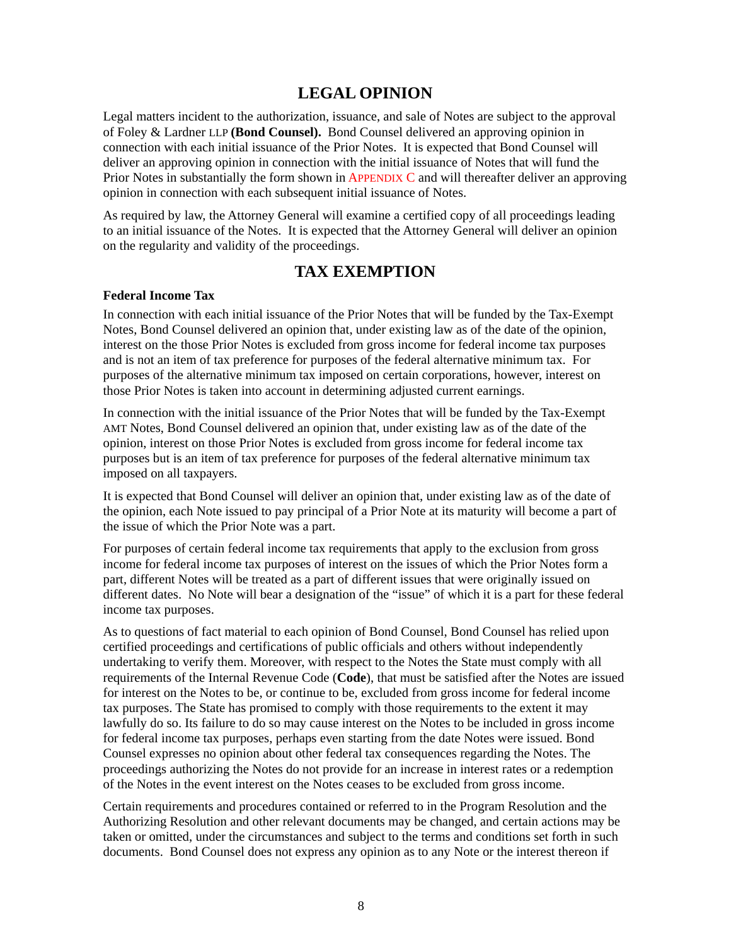# **LEGAL OPINION**

<span id="page-10-0"></span>Legal matters incident to the authorization, issuance, and sale of Notes are subject to the approval of Foley & Lardner LLP **(Bond Counsel).** Bond Counsel delivered an approving opinion in connection with each initial issuance of the Prior Notes. It is expected that Bond Counsel will deliver an approving opinion in connection with the initial issuance of Notes that will fund the Prior Notes in substantially the form shown i[n APPENDIX C a](#page-19-0)nd will thereafter deliver an approving opinion in connection with each subsequent initial issuance of Notes.

As required by law, the Attorney General will examine a certified copy of all proceedings leading to an initial issuance of the Notes. It is expected that the Attorney General will deliver an opinion on the regularity and validity of the proceedings.

# **TAX EXEMPTION**

#### **Federal Income Tax**

In connection with each initial issuance of the Prior Notes that will be funded by the Tax-Exempt Notes, Bond Counsel delivered an opinion that, under existing law as of the date of the opinion, interest on the those Prior Notes is excluded from gross income for federal income tax purposes and is not an item of tax preference for purposes of the federal alternative minimum tax. For purposes of the alternative minimum tax imposed on certain corporations, however, interest on those Prior Notes is taken into account in determining adjusted current earnings.

In connection with the initial issuance of the Prior Notes that will be funded by the Tax-Exempt AMT Notes, Bond Counsel delivered an opinion that, under existing law as of the date of the opinion, interest on those Prior Notes is excluded from gross income for federal income tax purposes but is an item of tax preference for purposes of the federal alternative minimum tax imposed on all taxpayers.

It is expected that Bond Counsel will deliver an opinion that, under existing law as of the date of the opinion, each Note issued to pay principal of a Prior Note at its maturity will become a part of the issue of which the Prior Note was a part.

For purposes of certain federal income tax requirements that apply to the exclusion from gross income for federal income tax purposes of interest on the issues of which the Prior Notes form a part, different Notes will be treated as a part of different issues that were originally issued on different dates. No Note will bear a designation of the "issue" of which it is a part for these federal income tax purposes.

As to questions of fact material to each opinion of Bond Counsel, Bond Counsel has relied upon certified proceedings and certifications of public officials and others without independently undertaking to verify them. Moreover, with respect to the Notes the State must comply with all requirements of the Internal Revenue Code (**Code**), that must be satisfied after the Notes are issued for interest on the Notes to be, or continue to be, excluded from gross income for federal income tax purposes. The State has promised to comply with those requirements to the extent it may lawfully do so. Its failure to do so may cause interest on the Notes to be included in gross income for federal income tax purposes, perhaps even starting from the date Notes were issued. Bond Counsel expresses no opinion about other federal tax consequences regarding the Notes. The proceedings authorizing the Notes do not provide for an increase in interest rates or a redemption of the Notes in the event interest on the Notes ceases to be excluded from gross income.

Certain requirements and procedures contained or referred to in the Program Resolution and the Authorizing Resolution and other relevant documents may be changed, and certain actions may be taken or omitted, under the circumstances and subject to the terms and conditions set forth in such documents. Bond Counsel does not express any opinion as to any Note or the interest thereon if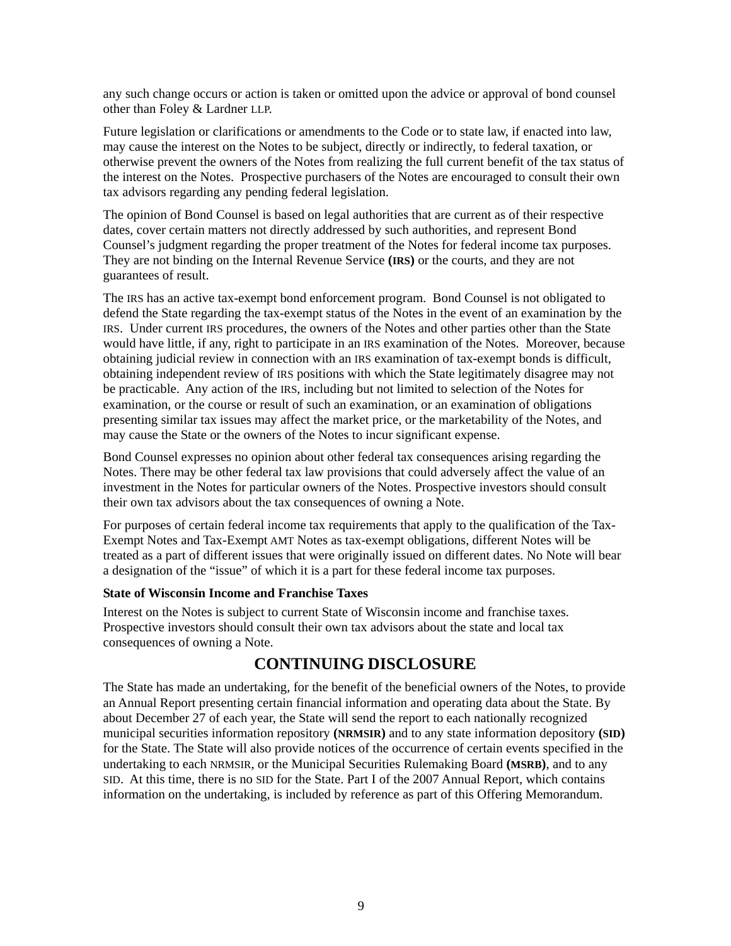<span id="page-11-0"></span>any such change occurs or action is taken or omitted upon the advice or approval of bond counsel other than Foley & Lardner LLP.

Future legislation or clarifications or amendments to the Code or to state law, if enacted into law, may cause the interest on the Notes to be subject, directly or indirectly, to federal taxation, or otherwise prevent the owners of the Notes from realizing the full current benefit of the tax status of the interest on the Notes. Prospective purchasers of the Notes are encouraged to consult their own tax advisors regarding any pending federal legislation.

The opinion of Bond Counsel is based on legal authorities that are current as of their respective dates, cover certain matters not directly addressed by such authorities, and represent Bond Counsel's judgment regarding the proper treatment of the Notes for federal income tax purposes. They are not binding on the Internal Revenue Service **(IRS)** or the courts, and they are not guarantees of result.

The IRS has an active tax-exempt bond enforcement program. Bond Counsel is not obligated to defend the State regarding the tax-exempt status of the Notes in the event of an examination by the IRS. Under current IRS procedures, the owners of the Notes and other parties other than the State would have little, if any, right to participate in an IRS examination of the Notes. Moreover, because obtaining judicial review in connection with an IRS examination of tax-exempt bonds is difficult, obtaining independent review of IRS positions with which the State legitimately disagree may not be practicable. Any action of the IRS, including but not limited to selection of the Notes for examination, or the course or result of such an examination, or an examination of obligations presenting similar tax issues may affect the market price, or the marketability of the Notes, and may cause the State or the owners of the Notes to incur significant expense.

Bond Counsel expresses no opinion about other federal tax consequences arising regarding the Notes. There may be other federal tax law provisions that could adversely affect the value of an investment in the Notes for particular owners of the Notes. Prospective investors should consult their own tax advisors about the tax consequences of owning a Note.

For purposes of certain federal income tax requirements that apply to the qualification of the Tax-Exempt Notes and Tax-Exempt AMT Notes as tax-exempt obligations, different Notes will be treated as a part of different issues that were originally issued on different dates. No Note will bear a designation of the "issue" of which it is a part for these federal income tax purposes.

#### **State of Wisconsin Income and Franchise Taxes**

Interest on the Notes is subject to current State of Wisconsin income and franchise taxes. Prospective investors should consult their own tax advisors about the state and local tax consequences of owning a Note.

## **CONTINUING DISCLOSURE**

The State has made an undertaking, for the benefit of the beneficial owners of the Notes, to provide an Annual Report presenting certain financial information and operating data about the State. By about December 27 of each year, the State will send the report to each nationally recognized municipal securities information repository **(NRMSIR)** and to any state information depository **(SID)** for the State. The State will also provide notices of the occurrence of certain events specified in the undertaking to each NRMSIR, or the Municipal Securities Rulemaking Board **(MSRB)**, and to any SID. At this time, there is no SID for the State. Part I of the 2007 Annual Report, which contains information on the undertaking, is included by reference as part of this Offering Memorandum.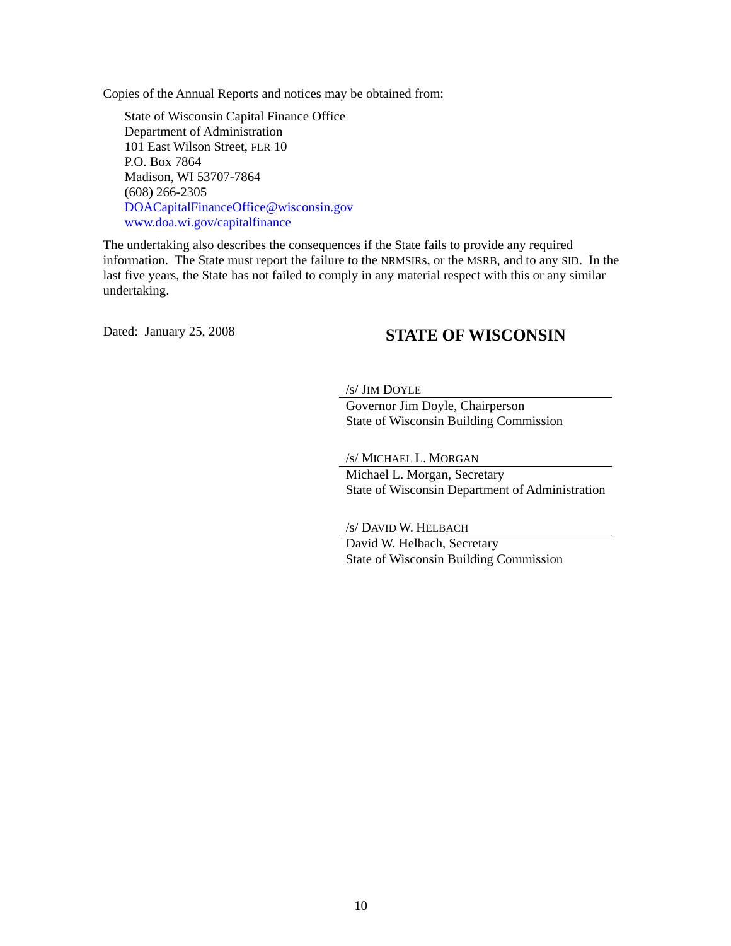Copies of the Annual Reports and notices may be obtained from:

State of Wisconsin Capital Finance Office Department of Administration 101 East Wilson Street, FLR 10 P.O. Box 7864 Madison, WI 53707-7864 (608) 266-2305 [DOACapitalFinanceOffice@wisconsin.gov](mailto: DOACapitalFinanceOffice@wisconsin.gov)  [www.doa.wi.gov/capitalfinance](https://doa.wi.gov/capitalfinance)

The undertaking also describes the consequences if the State fails to provide any required information. The State must report the failure to the NRMSIRs, or the MSRB, and to any SID. In the last five years, the State has not failed to comply in any material respect with this or any similar undertaking.

# Dated: January 25, 2008 **STATE OF WISCONSIN**

#### /s/ JIM DOYLE

 Governor Jim Doyle, Chairperson State of Wisconsin Building Commission

/s/ MICHAEL L. MORGAN

 Michael L. Morgan, Secretary State of Wisconsin Department of Administration

/s/ DAVID W. HELBACH

 David W. Helbach, Secretary State of Wisconsin Building Commission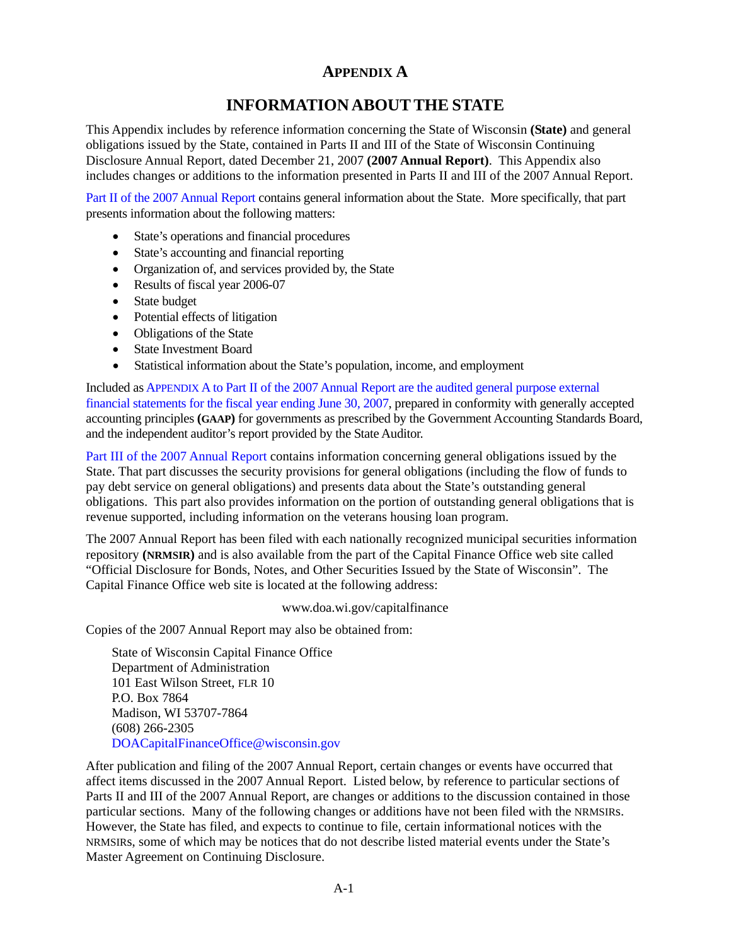# **APPENDIX A**

# **INFORMATION ABOUTTHE STATE**

<span id="page-13-0"></span>This Appendix includes by reference information concerning the State of Wisconsin **(State)** and general obligations issued by the State, contained in Parts II and III of the State of Wisconsin Continuing Disclosure Annual Report, dated December 21, 2007 **(2007 Annual Report)**. This Appendix also includes changes or additions to the information presented in Parts II and III of the 2007 Annual Report.

[Part II of the 2007 Annual Report co](https://doa.wi.gov/DEBFCapitalFinance/2007/07dis2.pdf)ntains general information about the State. More specifically, that part presents information about the following matters:

- State's operations and financial procedures
- State's accounting and financial reporting
- Organization of, and services provided by, the State
- Results of fiscal year 2006-07
- State budget
- Potential effects of litigation
- Obligations of the State
- State Investment Board
- Statistical information about the State's population, income, and employment

Included as APPENDIX A to Part II of the 2007 Annual Report are the audited general purpose external [financial statements for the fiscal year ending June 30, 2007, prepared in conformity with generally acc](https://doa.wi.gov/DEBFCapitalFinance/2007/07dis2.pdf)epted accounting principles **(GAAP)** for governments as prescribed by the Government Accounting Standards Board, and the independent auditor's report provided by the State Auditor.

[Part III of the 2007 Annual Report co](https://doa.wi.gov/DEBFCapitalFinance/2007/07dis3.pdf)ntains information concerning general obligations issued by the State. That part discusses the security provisions for general obligations (including the flow of funds to pay debt service on general obligations) and presents data about the State's outstanding general obligations. This part also provides information on the portion of outstanding general obligations that is revenue supported, including information on the veterans housing loan program.

The 2007 Annual Report has been filed with each nationally recognized municipal securities information repository **(NRMSIR)** and is also available from the part of the Capital Finance Office web site called "Official Disclosure for Bonds, Notes, and Other Securities Issued by the State of Wisconsin". The Capital Finance Office web site is located at the following address:

[www.doa.wi.gov/capitalfinanc](https://doa.wi.gov/capitalfinance)e

Copies of the 2007 Annual Report may also be obtained from:

State of Wisconsin Capital Finance Office Department of Administration 101 East Wilson Street, FLR 10 P.O. Box 7864 Madison, WI 53707-7864 (608) 266-2305 [DOACapitalFinanceOffice@wisconsin.gov](mailto: DOACapitalFinanceOffice@wisconsin.gov)

After publication and filing of the 2007 Annual Report, certain changes or events have occurred that affect items discussed in the 2007 Annual Report. Listed below, by reference to particular sections of Parts II and III of the 2007 Annual Report, are changes or additions to the discussion contained in those particular sections. Many of the following changes or additions have not been filed with the NRMSIRs. However, the State has filed, and expects to continue to file, certain informational notices with the NRMSIRs, some of which may be notices that do not describe listed material events under the State's Master Agreement on Continuing Disclosure.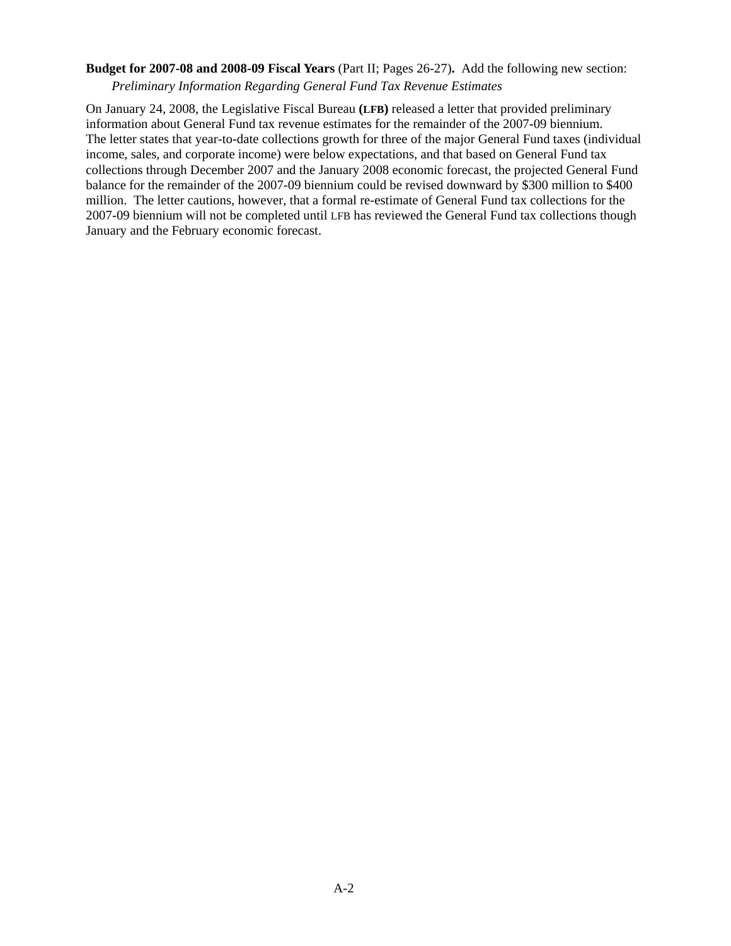## **Budget for 2007-08 and 2008-09 Fiscal Years** (Part II; Pages 26-27)**.** Add the following new section:

*Preliminary Information Regarding General Fund Tax Revenue Estimates* 

On January 24, 2008, the Legislative Fiscal Bureau **(LFB)** released a letter that provided preliminary information about General Fund tax revenue estimates for the remainder of the 2007-09 biennium. The letter states that year-to-date collections growth for three of the major General Fund taxes (individual income, sales, and corporate income) were below expectations, and that based on General Fund tax collections through December 2007 and the January 2008 economic forecast, the projected General Fund balance for the remainder of the 2007-09 biennium could be revised downward by \$300 million to \$400 million. The letter cautions, however, that a formal re-estimate of General Fund tax collections for the 2007-09 biennium will not be completed until LFB has reviewed the General Fund tax collections though January and the February economic forecast.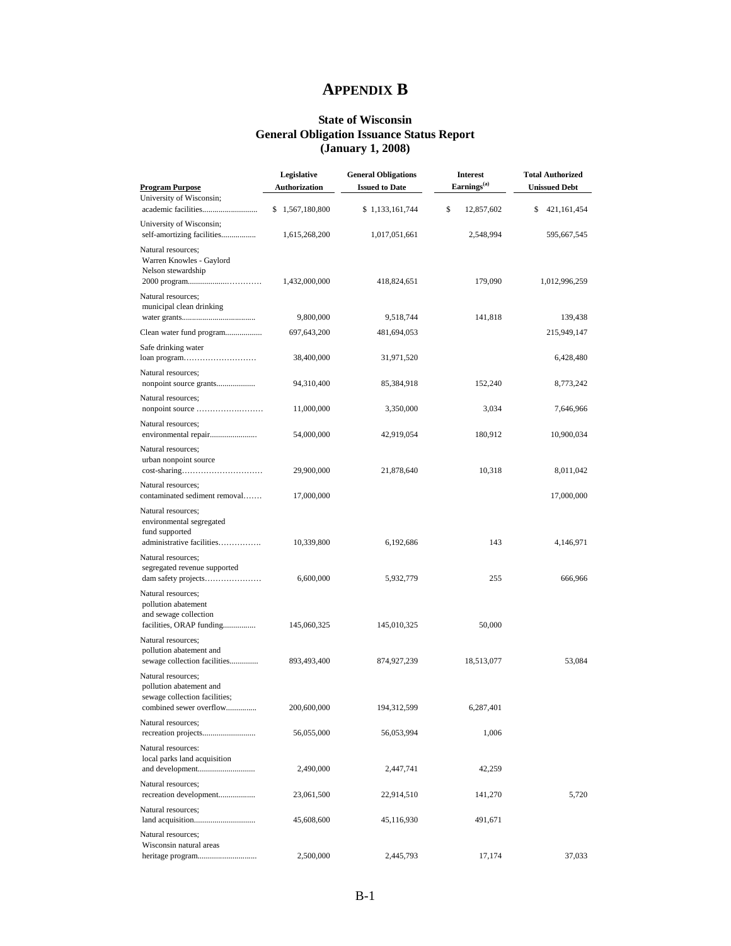# **APPENDIX B**

#### **State of Wisconsin General Obligation Issuance Status Report (January 1, 2008)**

<span id="page-15-0"></span>

| <b>Program Purpose</b>                                                                                    | Legislative<br><b>Authorization</b> | <b>General Obligations</b><br><b>Issued to Date</b> | <b>Interest</b><br>Earnings <sup>(a)</sup> | <b>Total Authorized</b><br><b>Unissued Debt</b> |
|-----------------------------------------------------------------------------------------------------------|-------------------------------------|-----------------------------------------------------|--------------------------------------------|-------------------------------------------------|
| University of Wisconsin;                                                                                  | 1,567,180,800<br>\$                 | \$1,133,161,744                                     | \$<br>12,857,602                           | 421,161,454<br>\$                               |
| University of Wisconsin;<br>self-amortizing facilities                                                    | 1,615,268,200                       | 1,017,051,661                                       | 2,548,994                                  | 595,667,545                                     |
| Natural resources;<br>Warren Knowles - Gaylord<br>Nelson stewardship                                      | 1,432,000,000                       | 418,824,651                                         | 179,090                                    | 1,012,996,259                                   |
| Natural resources;<br>municipal clean drinking                                                            |                                     |                                                     |                                            |                                                 |
|                                                                                                           | 9,800,000                           | 9,518,744                                           | 141,818                                    | 139,438                                         |
| Clean water fund program                                                                                  | 697,643,200                         | 481,694,053                                         |                                            | 215,949,147                                     |
| Safe drinking water<br>loan program                                                                       | 38,400,000                          | 31,971,520                                          |                                            | 6,428,480                                       |
| Natural resources;<br>nonpoint source grants                                                              | 94,310,400                          | 85,384,918                                          | 152,240                                    | 8,773,242                                       |
| Natural resources;                                                                                        | 11,000,000                          | 3,350,000                                           | 3,034                                      | 7,646,966                                       |
| Natural resources;<br>environmental repair                                                                | 54,000,000                          | 42,919,054                                          | 180,912                                    | 10,900,034                                      |
| Natural resources;<br>urban nonpoint source                                                               | 29,900,000                          | 21,878,640                                          | 10,318                                     | 8,011,042                                       |
| Natural resources;<br>contaminated sediment removal                                                       | 17,000,000                          |                                                     |                                            | 17,000,000                                      |
| Natural resources:<br>environmental segregated<br>fund supported<br>administrative facilities             | 10,339,800                          | 6,192,686                                           | 143                                        | 4,146,971                                       |
| Natural resources;<br>segregated revenue supported                                                        | 6,600,000                           | 5,932,779                                           | 255                                        | 666,966                                         |
| Natural resources;<br>pollution abatement<br>and sewage collection<br>facilities, ORAP funding            | 145,060,325                         | 145,010,325                                         | 50,000                                     |                                                 |
| Natural resources;<br>pollution abatement and<br>sewage collection facilities                             | 893,493,400                         | 874,927,239                                         | 18,513,077                                 | 53,084                                          |
| Natural resources;<br>pollution abatement and<br>sewage collection facilities;<br>combined sewer overflow | 200,600,000                         | 194,312,599                                         | 6,287,401                                  |                                                 |
| Natural resources;                                                                                        | 56,055,000                          | 56,053,994                                          | 1,006                                      |                                                 |
| Natural resources:<br>local parks land acquisition<br>and development                                     | 2,490,000                           | 2,447,741                                           | 42,259                                     |                                                 |
| Natural resources;<br>recreation development                                                              | 23,061,500                          | 22,914,510                                          | 141,270                                    | 5,720                                           |
| Natural resources:                                                                                        | 45,608,600                          | 45,116,930                                          | 491,671                                    |                                                 |
| Natural resources;<br>Wisconsin natural areas                                                             | 2,500,000                           | 2,445,793                                           | 17,174                                     | 37,033                                          |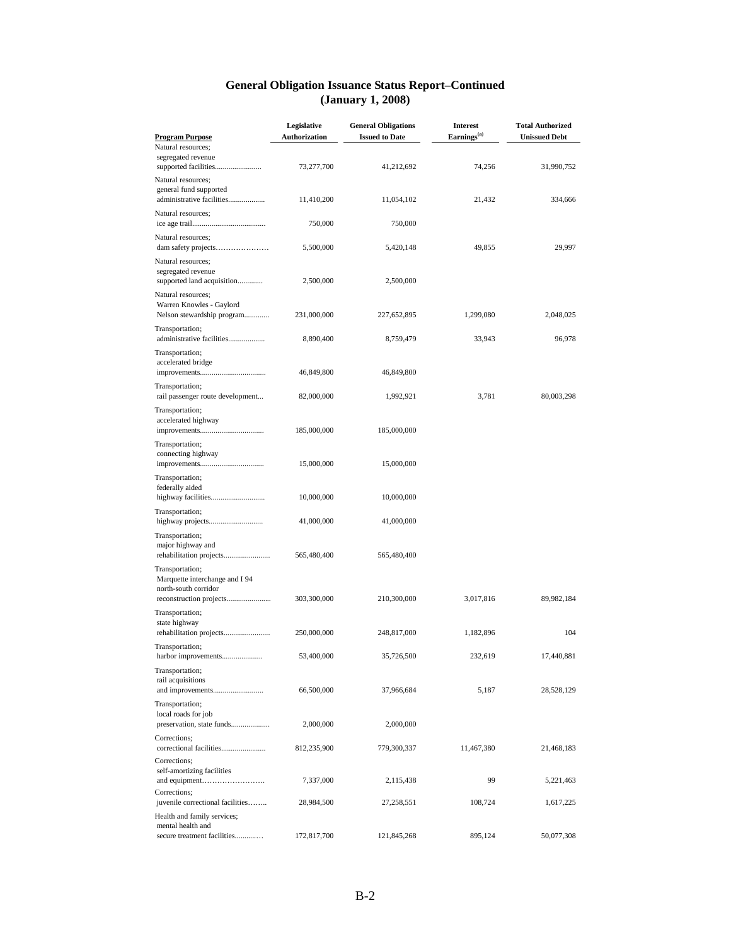#### **General Obligation Issuance Status Report–Continued (January 1, 2008)**

| <b>Program Purpose</b>                                                       | Legislative<br><b>Authorization</b> | <b>General Obligations</b><br><b>Issued to Date</b> | <b>Interest</b><br>Earnings <sup>(a)</sup> | <b>Total Authorized</b><br><b>Unissued Debt</b> |
|------------------------------------------------------------------------------|-------------------------------------|-----------------------------------------------------|--------------------------------------------|-------------------------------------------------|
| Natural resources;                                                           |                                     |                                                     |                                            |                                                 |
| segregated revenue<br>supported facilities                                   | 73,277,700                          | 41,212,692                                          | 74,256                                     | 31,990,752                                      |
| Natural resources;<br>general fund supported<br>administrative facilities    | 11,410,200                          | 11,054,102                                          | 21,432                                     | 334,666                                         |
| Natural resources;                                                           | 750,000                             | 750,000                                             |                                            |                                                 |
| Natural resources;<br>dam safety projects                                    | 5,500,000                           | 5,420,148                                           | 49,855                                     | 29,997                                          |
| Natural resources;<br>segregated revenue<br>supported land acquisition       | 2,500,000                           | 2,500,000                                           |                                            |                                                 |
| Natural resources;<br>Warren Knowles - Gaylord<br>Nelson stewardship program | 231,000,000                         | 227,652,895                                         | 1,299,080                                  | 2,048,025                                       |
| Transportation;<br>administrative facilities                                 | 8,890,400                           | 8,759,479                                           | 33,943                                     | 96,978                                          |
| Transportation;<br>accelerated bridge                                        | 46,849,800                          | 46,849,800                                          |                                            |                                                 |
| Transportation;<br>rail passenger route development                          | 82,000,000                          | 1,992,921                                           | 3,781                                      | 80,003,298                                      |
| Transportation;<br>accelerated highway                                       | 185,000,000                         | 185,000,000                                         |                                            |                                                 |
| Transportation;<br>connecting highway                                        | 15,000,000                          | 15,000,000                                          |                                            |                                                 |
| Transportation;<br>federally aided                                           | 10,000,000                          | 10,000,000                                          |                                            |                                                 |
| Transportation;                                                              | 41,000,000                          | 41,000,000                                          |                                            |                                                 |
| Transportation;<br>major highway and<br>rehabilitation projects              | 565,480,400                         | 565,480,400                                         |                                            |                                                 |
| Transportation;<br>Marquette interchange and I 94<br>north-south corridor    |                                     |                                                     |                                            |                                                 |
| Transportation;                                                              | 303,300,000                         | 210,300,000                                         | 3,017,816                                  | 89,982,184                                      |
| state highway<br>rehabilitation projects                                     | 250,000,000                         | 248,817,000                                         | 1,182,896                                  | 104                                             |
| Transportation;<br>harbor improvements                                       | 53,400,000                          | 35,726,500                                          | 232,619                                    | 17,440,881                                      |
| Transportation;<br>rail acquisitions<br>and improvements                     | 66,500,000                          | 37,966,684                                          | 5,187                                      | 28,528,129                                      |
| Transportation;<br>local roads for job<br>preservation, state funds          | 2,000,000                           | 2,000,000                                           |                                            |                                                 |
| Corrections;<br>correctional facilities                                      | 812,235,900                         | 779,300,337                                         | 11,467,380                                 | 21,468,183                                      |
| Corrections;<br>self-amortizing facilities                                   | 7,337,000                           | 2,115,438                                           | 99                                         | 5,221,463                                       |
| Corrections;<br>juvenile correctional facilities                             | 28,984,500                          | 27,258,551                                          | 108,724                                    | 1,617,225                                       |
| Health and family services;                                                  |                                     |                                                     |                                            |                                                 |
| mental health and<br>secure treatment facilities                             | 172,817,700                         | 121,845,268                                         | 895,124                                    | 50,077,308                                      |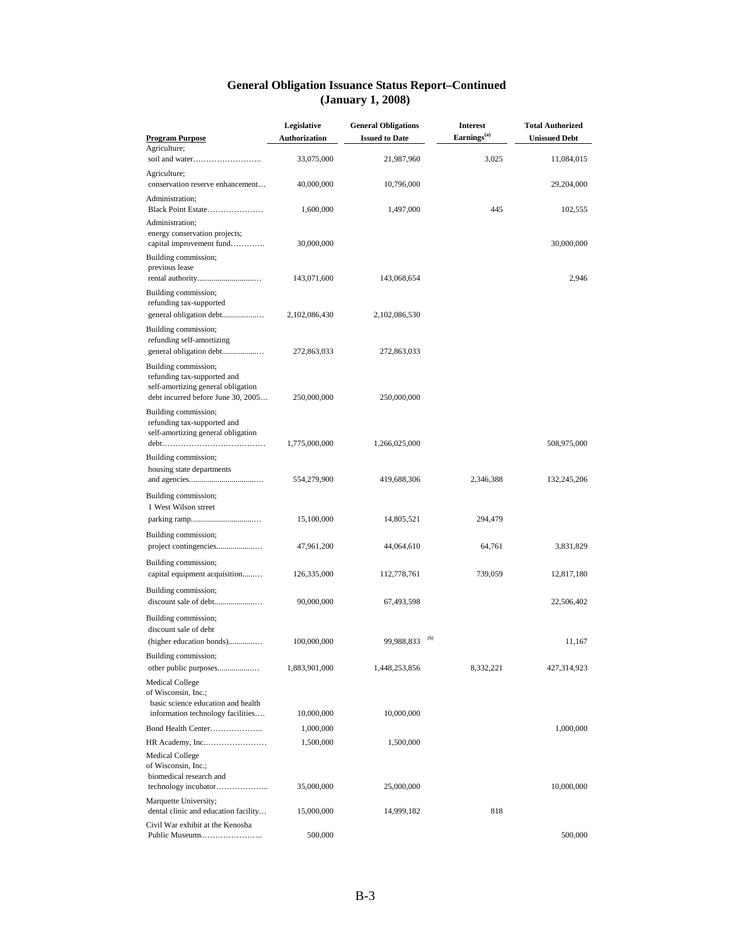#### **General Obligation Issuance Status Report–Continued (January 1, 2008)**

|                                                                                           | Legislative          | <b>General Obligations</b> | <b>Interest</b>         | <b>Total Authorized</b> |
|-------------------------------------------------------------------------------------------|----------------------|----------------------------|-------------------------|-------------------------|
| <b>Program Purpose</b><br>Agriculture;                                                    | <b>Authorization</b> | <b>Issued to Date</b>      | Earnings <sup>(a)</sup> | <b>Unissued Debt</b>    |
|                                                                                           | 33,075,000           | 21,987,960                 | 3,025                   | 11,084,015              |
| Agriculture;<br>conservation reserve enhancement                                          | 40,000,000           | 10,796,000                 |                         | 29,204,000              |
| Administration;<br>Black Point Estate                                                     | 1,600,000            | 1,497,000                  | 445                     | 102,555                 |
| Administration;                                                                           |                      |                            |                         |                         |
| energy conservation projects;<br>capital improvement fund                                 | 30,000,000           |                            |                         | 30,000,000              |
| Building commission;<br>previous lease                                                    |                      |                            |                         |                         |
|                                                                                           | 143,071,600          | 143,068,654                |                         | 2,946                   |
| Building commission;<br>refunding tax-supported<br>general obligation debt                | 2,102,086,430        | 2,102,086,530              |                         |                         |
| Building commission;<br>refunding self-amortizing                                         |                      |                            |                         |                         |
| general obligation debt                                                                   | 272,863,033          | 272,863,033                |                         |                         |
| Building commission;<br>refunding tax-supported and<br>self-amortizing general obligation |                      |                            |                         |                         |
| debt incurred before June 30, 2005                                                        | 250,000,000          | 250,000,000                |                         |                         |
| Building commission;<br>refunding tax-supported and<br>self-amortizing general obligation | 1,775,000,000        | 1,266,025,000              |                         | 508,975,000             |
| Building commission;                                                                      |                      |                            |                         |                         |
| housing state departments                                                                 | 554,279,900          | 419,688,306                | 2,346,388               | 132,245,206             |
| Building commission;<br>1 West Wilson street                                              |                      |                            |                         |                         |
|                                                                                           | 15,100,000           | 14,805,521                 | 294,479                 |                         |
| Building commission;                                                                      | 47,961,200           | 44,064,610                 | 64,761                  | 3,831,829               |
| Building commission;                                                                      |                      |                            |                         |                         |
| capital equipment acquisition                                                             | 126,335,000          | 112,778,761                | 739,059                 | 12,817,180              |
| Building commission;<br>discount sale of debt                                             | 90,000,000           | 67,493,598                 |                         | 22,506,402              |
| Building commission;                                                                      |                      |                            |                         |                         |
| discount sale of debt                                                                     |                      |                            |                         |                         |
| (higher education bonds)                                                                  | 100,000,000          | 99,988,833                 | (b)                     | 11,167                  |
| Building commission;                                                                      |                      |                            |                         |                         |
| other public purposes                                                                     | 1,883,901,000        | 1,448,253,856              | 8,332,221               | 427,314,923             |
| <b>Medical College</b><br>of Wisconsin, Inc.;<br>basic science education and health       |                      |                            |                         |                         |
| information technology facilities                                                         | 10,000,000           | 10,000,000                 |                         |                         |
| Bond Health Center                                                                        | 1,000,000            |                            |                         | 1,000,000               |
| <b>Medical College</b><br>of Wisconsin, Inc.;                                             | 1,500,000            | 1,500,000                  |                         |                         |
| biomedical research and                                                                   | 35,000,000           | 25,000,000                 |                         | 10,000,000              |
| Marquette University;<br>dental clinic and education facility                             | 15,000,000           | 14,999,182                 | 818                     |                         |
| Civil War exhibit at the Kenosha                                                          |                      |                            |                         |                         |
|                                                                                           | 500,000              |                            |                         | 500,000                 |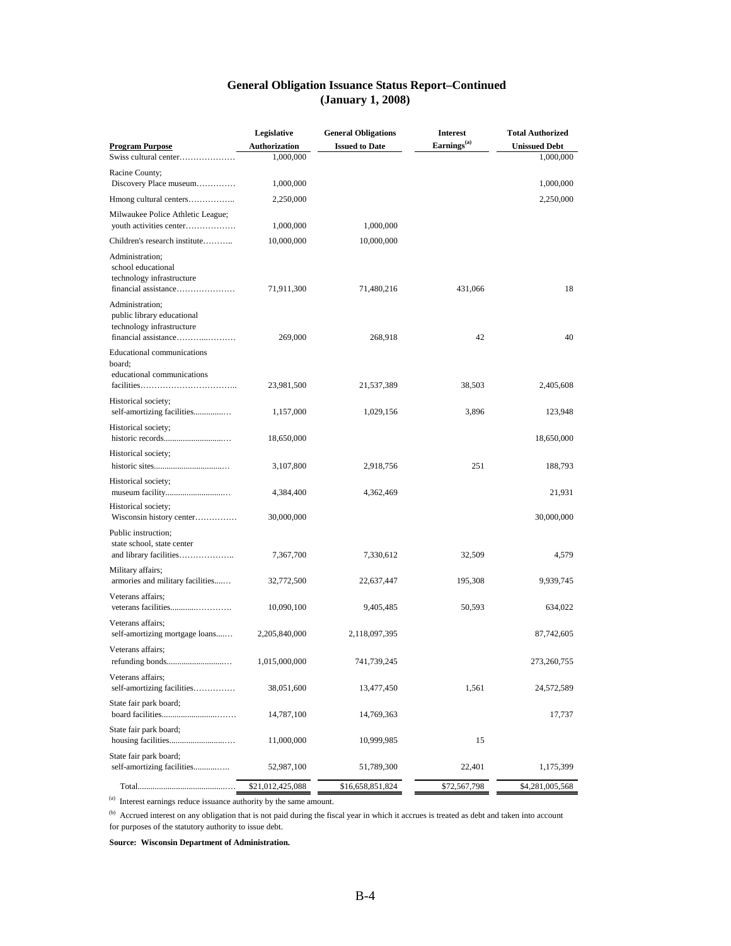| <b>General Obligation Issuance Status Report–Continued</b> |
|------------------------------------------------------------|
| (January 1, 2008)                                          |

|                                                                                                    | Legislative          | <b>General Obligations</b> | <b>Interest</b>         | <b>Total Authorized</b> |
|----------------------------------------------------------------------------------------------------|----------------------|----------------------------|-------------------------|-------------------------|
| <b>Program Purpose</b>                                                                             | <b>Authorization</b> | <b>Issued to Date</b>      | Earnings <sup>(a)</sup> | <b>Unissued Debt</b>    |
| Swiss cultural center                                                                              | 1,000,000            |                            |                         | 1,000,000               |
| Racine County;                                                                                     |                      |                            |                         |                         |
| Discovery Place museum                                                                             | 1,000,000            |                            |                         | 1,000,000               |
| Hmong cultural centers                                                                             | 2,250,000            |                            |                         | 2,250,000               |
| Milwaukee Police Athletic League;                                                                  |                      |                            |                         |                         |
| youth activities center                                                                            | 1,000,000            | 1,000,000                  |                         |                         |
| Children's research institute                                                                      | 10,000,000           | 10,000,000                 |                         |                         |
| Administration;<br>school educational<br>technology infrastructure<br>financial assistance         | 71,911,300           | 71,480,216                 | 431,066                 | 18                      |
| Administration;<br>public library educational<br>technology infrastructure<br>financial assistance | 269,000              | 268,918                    | 42                      | 40                      |
| Educational communications<br>board;<br>educational communications                                 |                      |                            |                         |                         |
|                                                                                                    | 23,981,500           | 21,537,389                 | 38,503                  | 2,405,608               |
| Historical society;<br>self-amortizing facilities                                                  | 1,157,000            | 1,029,156                  | 3,896                   | 123,948                 |
| Historical society;                                                                                | 18,650,000           |                            |                         | 18,650,000              |
| Historical society;                                                                                |                      |                            |                         |                         |
|                                                                                                    | 3,107,800            | 2,918,756                  | 251                     | 188,793                 |
| Historical society;                                                                                | 4,384,400            | 4,362,469                  |                         | 21,931                  |
| Historical society;<br>Wisconsin history center                                                    | 30,000,000           |                            |                         | 30,000,000              |
| Public instruction;<br>state school, state center<br>and library facilities                        | 7,367,700            | 7,330,612                  | 32,509                  | 4,579                   |
| Military affairs;<br>armories and military facilities                                              | 32,772,500           | 22,637,447                 | 195,308                 | 9,939,745               |
| Veterans affairs;                                                                                  | 10,090,100           | 9,405,485                  | 50,593                  | 634,022                 |
| Veterans affairs;<br>self-amortizing mortgage loans                                                | 2,205,840,000        | 2,118,097,395              |                         | 87,742,605              |
| Veterans affairs;<br>refunding bonds                                                               | 1,015,000,000        | 741,739,245                |                         | 273,260,755             |
| Veterans affairs;                                                                                  |                      |                            |                         |                         |
| self-amortizing facilities                                                                         | 38,051,600           | 13,477,450                 | 1,561                   | 24,572,589              |
| State fair park board;                                                                             | 14,787,100           | 14,769,363                 |                         | 17,737                  |
| State fair park board;                                                                             | 11,000,000           | 10,999,985                 | 15                      |                         |
| State fair park board;<br>self-amortizing facilities                                               | 52,987,100           | 51,789,300                 | 22,401                  | 1,175,399               |
|                                                                                                    | \$21,012,425,088     | \$16,658,851,824           | \$72,567,798            | \$4,281,005,568         |

(a) Interest earnings reduce issuance authority by the same amount.

<sup>(b)</sup> Accrued interest on any obligation that is not paid during the fiscal year in which it accrues is treated as debt and taken into account for purposes of the statutory authority to issue debt.

**Source: Wisconsin Department of Administration.**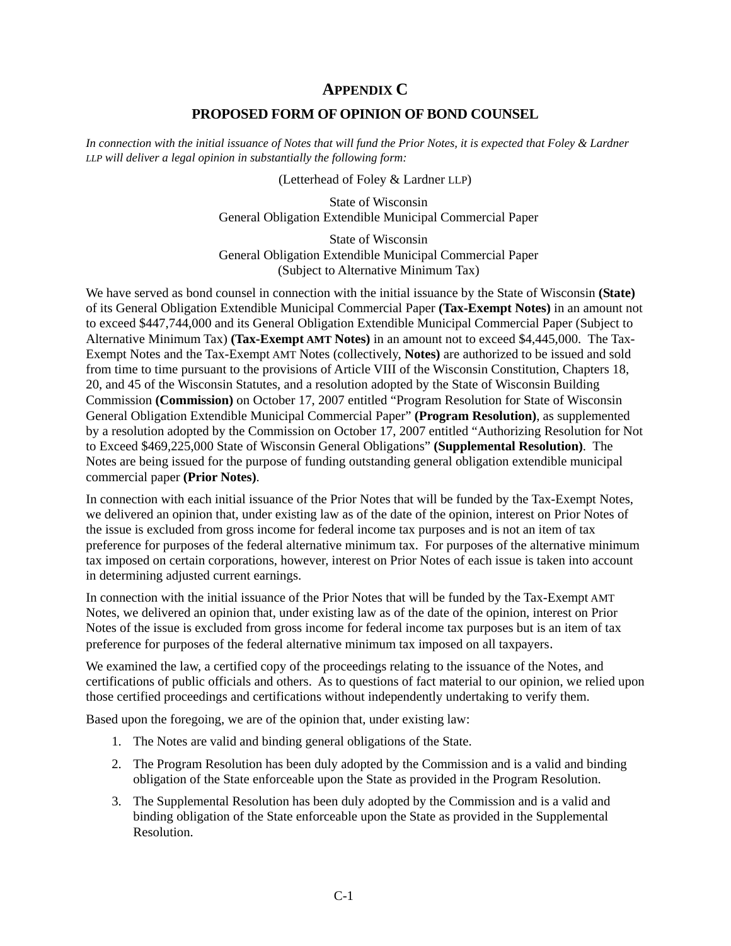## **APPENDIX C**

#### **PROPOSED FORM OF OPINION OF BOND COUNSEL**

<span id="page-19-0"></span>*In connection with the initial issuance of Notes that will fund the Prior Notes, it is expected that Foley & Lardner LLP will deliver a legal opinion in substantially the following form:*

(Letterhead of Foley & Lardner LLP)

 State of Wisconsin General Obligation Extendible Municipal Commercial Paper

 State of Wisconsin General Obligation Extendible Municipal Commercial Paper (Subject to Alternative Minimum Tax)

We have served as bond counsel in connection with the initial issuance by the State of Wisconsin **(State)** of its General Obligation Extendible Municipal Commercial Paper **(Tax-Exempt Notes)** in an amount not to exceed \$447,744,000 and its General Obligation Extendible Municipal Commercial Paper (Subject to Alternative Minimum Tax) **(Tax-Exempt AMT Notes)** in an amount not to exceed \$4,445,000. The Tax-Exempt Notes and the Tax-Exempt AMT Notes (collectively, **Notes)** are authorized to be issued and sold from time to time pursuant to the provisions of Article VIII of the Wisconsin Constitution, Chapters 18, 20, and 45 of the Wisconsin Statutes, and a resolution adopted by the State of Wisconsin Building Commission **(Commission)** on October 17, 2007 entitled "Program Resolution for State of Wisconsin General Obligation Extendible Municipal Commercial Paper" **(Program Resolution)**, as supplemented by a resolution adopted by the Commission on October 17, 2007 entitled "Authorizing Resolution for Not to Exceed \$469,225,000 State of Wisconsin General Obligations" **(Supplemental Resolution)**. The Notes are being issued for the purpose of funding outstanding general obligation extendible municipal commercial paper **(Prior Notes)**.

In connection with each initial issuance of the Prior Notes that will be funded by the Tax-Exempt Notes, we delivered an opinion that, under existing law as of the date of the opinion, interest on Prior Notes of the issue is excluded from gross income for federal income tax purposes and is not an item of tax preference for purposes of the federal alternative minimum tax. For purposes of the alternative minimum tax imposed on certain corporations, however, interest on Prior Notes of each issue is taken into account in determining adjusted current earnings.

In connection with the initial issuance of the Prior Notes that will be funded by the Tax-Exempt AMT Notes, we delivered an opinion that, under existing law as of the date of the opinion, interest on Prior Notes of the issue is excluded from gross income for federal income tax purposes but is an item of tax preference for purposes of the federal alternative minimum tax imposed on all taxpayers.

We examined the law, a certified copy of the proceedings relating to the issuance of the Notes, and certifications of public officials and others. As to questions of fact material to our opinion, we relied upon those certified proceedings and certifications without independently undertaking to verify them.

Based upon the foregoing, we are of the opinion that, under existing law:

- 1. The Notes are valid and binding general obligations of the State.
- 2. The Program Resolution has been duly adopted by the Commission and is a valid and binding obligation of the State enforceable upon the State as provided in the Program Resolution.
- 3. The Supplemental Resolution has been duly adopted by the Commission and is a valid and binding obligation of the State enforceable upon the State as provided in the Supplemental Resolution.